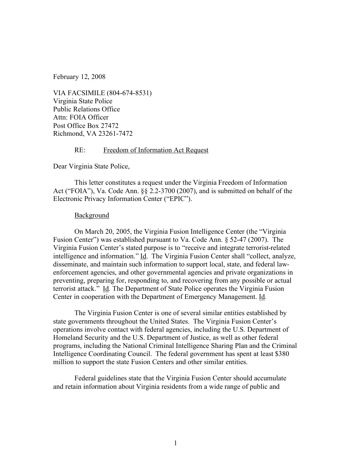February 12, 2008

VIA FACSIMILE (804-674-8531) Virginia State Police Public Relations Office Attn: FOIA Officer Post Office Box 27472 Richmond, VA 23261-7472

## RE: Freedom of Information Act Request

Dear Virginia State Police,

This letter constitutes a request under the Virginia Freedom of Information Act ("FOIA"), Va. Code Ann. §§ 2.2-3700 (2007), and is submitted on behalf of the Electronic Privacy Information Center ("EPIC").

## **Background**

On March 20, 2005, the Virginia Fusion Intelligence Center (the "Virginia Fusion Center") was established pursuant to Va. Code Ann. § 52-47 (2007). The Virginia Fusion Center's stated purpose is to "receive and integrate terrorist-related intelligence and information." Id.The Virginia Fusion Center shall "collect, analyze, disseminate, and maintain such information to support local, state, and federal lawenforcement agencies, and other governmental agencies and private organizations in preventing, preparing for, responding to, and recovering from any possible or actual terrorist attack." Id*.* The Department of State Police operates the Virginia Fusion Center in cooperation with the Department of Emergency Management. Id*.*

The Virginia Fusion Center is one of several similar entities established by state governments throughout the United States. The Virginia Fusion Center's operations involve contact with federal agencies, including the U.S. Department of Homeland Security and the U.S. Department of Justice, as well as other federal programs, including the National Criminal Intelligence Sharing Plan and the Criminal Intelligence Coordinating Council. The federal government has spent at least \$380 million to support the state Fusion Centers and other similar entities.

Federal guidelines state that the Virginia Fusion Center should accumulate and retain information about Virginia residents from a wide range of public and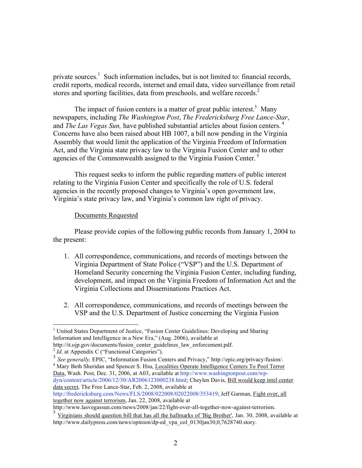private sources.<sup>1</sup> Such information includes, but is not limited to: financial records, credit reports, medical records, internet and email data, video surveillance from retail stores and sporting facilities, data from preschools, and welfare records.<sup>2</sup>

The impact of fusion centers is a matter of great public interest.<sup>3</sup> Many newspapers, including *The Washington Post*, *The Fredericksburg Free Lance-Star*, and *The Las Vegas Sun,* have published substantial articles about fusion centers. <sup>4</sup> Concerns have also been raised about HB 1007, a bill now pending in the Virginia Assembly that would limit the application of the Virginia Freedom of Information Act, and the Virginia state privacy law to the Virginia Fusion Center and to other agencies of the Commonwealth assigned to the Virginia Fusion Center.<sup>5</sup>

This request seeks to inform the public regarding matters of public interest relating to the Virginia Fusion Center and specifically the role of U.S. federal agencies in the recently proposed changes to Virginia's open government law, Virginia's state privacy law, and Virginia's common law right of privacy.

## Documents Requested

Please provide copies of the following public records from January 1, 2004 to the present:

- 1. All correspondence, communications, and records of meetings between the Virginia Department of State Police ("VSP") and the U.S. Department of Homeland Security concerning the Virginia Fusion Center, including funding, development, and impact on the Virginia Freedom of Information Act and the Virginia Collections and Disseminations Practices Act.
- 2. All correspondence, communications, and records of meetings between the VSP and the U.S. Department of Justice concerning the Virginia Fusion

Data, Wash. Post, Dec. 31, 2006, at A03, available at http://www.washingtonpost.com/wpdyn/content/article/2006/12/30/AR2006123000238.html; Cheylen Davis, Bill would keep intel center data secret, The Free Lance-Star, Feb. 2, 2008, available at

http://fredericksburg.com/News/FLS/2008/022008/02022008/353419; Jeff Garman, Fight over, all together now against terrorism, Jan. 22, 2008, available at

 $\frac{1}{1}$ <sup>1</sup> United States Department of Justice, "Fusion Center Guidelines: Developing and Sharing Information and Intelligence in a New Era," (Aug. 2006), available at

http://it.ojp.gov/documents/fusion\_center\_guidelines\_law\_enforcement.pdf. <sup>2</sup> *Id*. at Appendix C ("Functional Categories").

<sup>3</sup> *See generally,* EPIC, "Information Fusion Centers and Privacy," http://epic.org/privacy/fusion/. <sup>4</sup> Mary Beth Sheridan and Spencer S. Hsu, Localities Operate Intelligence Centers To Pool Terror

http://www.lasvegassun.com/news/2008/jan/22/fight-over-all-together-now-against-terrorism.

 $\frac{5}{3}$  Virginians should question bill that has all the hallmarks of 'Big Brother', Jan. 30, 2008, available at http://www.dailypress.com/news/opinion/dp-ed\_vpa\_col\_0130jan30,0,7628740.story.